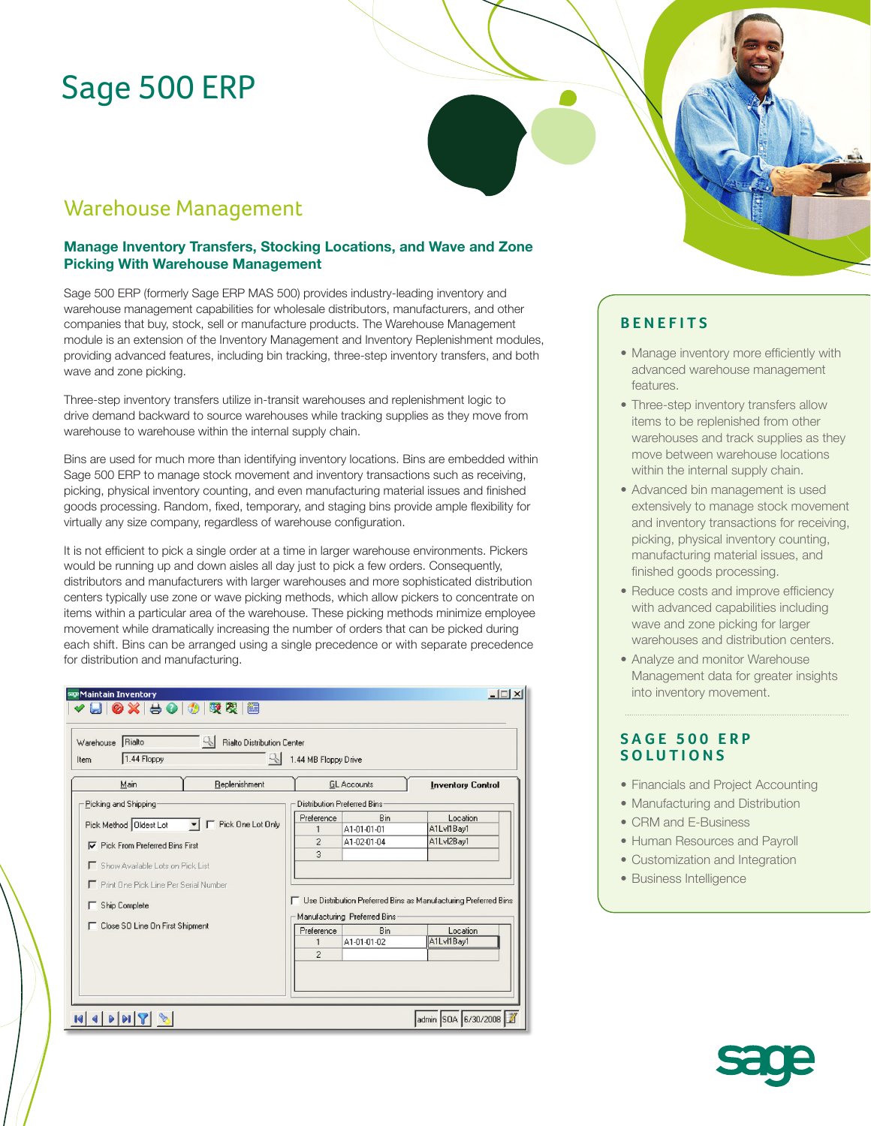# Sage 500 ERP

## Warehouse Management

## **Manage Inventory Transfers, Stocking Locations, and Wave and Zone Picking With Warehouse Management**

Sage 500 ERP (formerly Sage ERP MAS 500) provides industry-leading inventory and warehouse management capabilities for wholesale distributors, manufacturers, and other companies that buy, stock, sell or manufacture products. The Warehouse Management module is an extension of the Inventory Management and Inventory Replenishment modules, providing advanced features, including bin tracking, three-step inventory transfers, and both wave and zone picking.

Three-step inventory transfers utilize in-transit warehouses and replenishment logic to drive demand backward to source warehouses while tracking supplies as they move from warehouse to warehouse within the internal supply chain.

Bins are used for much more than identifying inventory locations. Bins are embedded within Sage 500 ERP to manage stock movement and inventory transactions such as receiving, picking, physical inventory counting, and even manufacturing material issues and finished goods processing. Random, fixed, temporary, and staging bins provide ample flexibility for virtually any size company, regardless of warehouse configuration.

It is not efficient to pick a single order at a time in larger warehouse environments. Pickers would be running up and down aisles all day just to pick a few orders. Consequently, distributors and manufacturers with larger warehouses and more sophisticated distribution centers typically use zone or wave picking methods, which allow pickers to concentrate on items within a particular area of the warehouse. These picking methods minimize employee movement while dramatically increasing the number of orders that can be picked during each shift. Bins can be arranged using a single precedence or with separate precedence for distribution and manufacturing.

| sage Maintain Inventory<br>✔ 님   ❷ ※   싕 ❷   ◎   ◎   喫 叉  <br>簡                             |                              |                              | $  $ $\Box$   $\times$                                            |
|---------------------------------------------------------------------------------------------|------------------------------|------------------------------|-------------------------------------------------------------------|
| 91<br>Rialto<br><b>Rialto Distribution Center</b><br>Warehouse<br>1.44 Floppy<br>Q,<br>Item | 1.44 MB Floppy Drive         |                              |                                                                   |
| Main<br>Replenishment                                                                       | <b>GL</b> Accounts           |                              | <b>Inventory Control</b>                                          |
| Picking and Shipping                                                                        | Distribution Preferred Bins: |                              |                                                                   |
|                                                                                             | Preference                   | Bin                          | Location                                                          |
| Pick Method   Oldest Lot<br>F Pick One Lot Only                                             | 1                            | A1-01-01-01                  | A1Lvl1Bay1                                                        |
| <b>▽</b> Pick From Preferred Bins First                                                     | $\overline{c}$               | A1-02-01-04                  | A1Lvl2Bay1                                                        |
|                                                                                             | $\overline{3}$               |                              |                                                                   |
| Show Available Lots on Pick List                                                            |                              |                              |                                                                   |
| Print One Pick Line Per Serial Number                                                       |                              |                              |                                                                   |
|                                                                                             |                              |                              | □ Use Distribution Preferred Bins as Manufacturing Preferred Bins |
| <b>F</b> Ship Complete                                                                      |                              | Manufacturing Preferred Bins |                                                                   |
| □ Close SO Line On First Shipment                                                           | Preference                   | <b>Bin</b>                   | Location                                                          |
|                                                                                             | $\mathbf{1}$                 | A1-01-01-02                  | A1Lvl1Bay1                                                        |
|                                                                                             | $\overline{2}$               |                              |                                                                   |
|                                                                                             |                              |                              |                                                                   |
|                                                                                             |                              |                              |                                                                   |
|                                                                                             |                              |                              |                                                                   |
|                                                                                             |                              |                              |                                                                   |
|                                                                                             |                              |                              | admin SOA 6/30/2008                                               |

## **BENEFITS**

- Manage inventory more efficiently with advanced warehouse management features.
- Three-step inventory transfers allow items to be replenished from other warehouses and track supplies as they move between warehouse locations within the internal supply chain.
- Advanced bin management is used extensively to manage stock movement and inventory transactions for receiving, picking, physical inventory counting, manufacturing material issues, and finished goods processing.
- Reduce costs and improve efficiency with advanced capabilities including wave and zone picking for larger warehouses and distribution centers.
- Analyze and monitor Warehouse Management data for greater insights into inventory movement.

## **SAGE 500 ERP SOLUTIONS**

- Financials and Project Accounting
- Manufacturing and Distribution
- CRM and E-Business
- Human Resources and Payroll
- Customization and Integration
- Business Intelligence